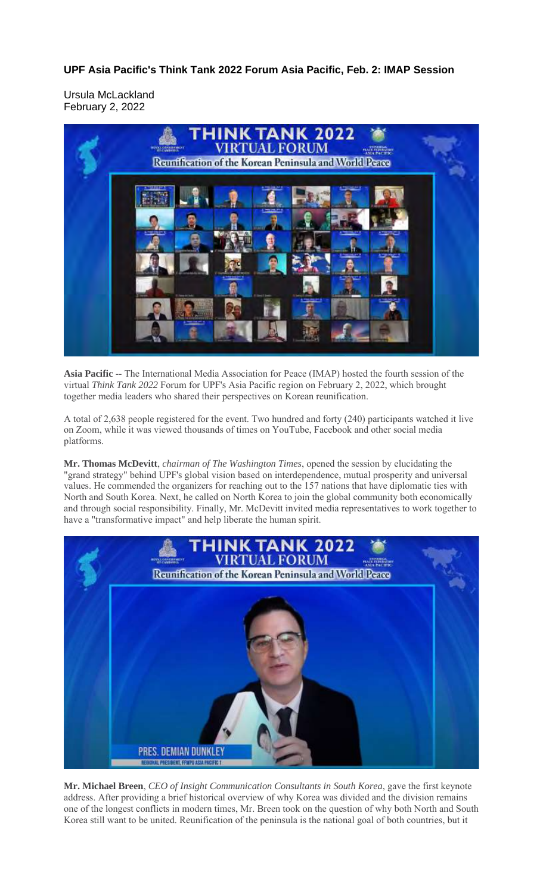**UPF Asia Pacific's Think Tank 2022 Forum Asia Pacific, Feb. 2: IMAP Session**

Ursula McLackland February 2, 2022



**Asia Pacific** -- The International Media Association for Peace (IMAP) hosted the fourth session of the virtual *Think Tank 2022* Forum for UPF's Asia Pacific region on February 2, 2022, which brought together media leaders who shared their perspectives on Korean reunification.

A total of 2,638 people registered for the event. Two hundred and forty (240) participants watched it live on Zoom, while it was viewed thousands of times on YouTube, Facebook and other social media platforms.

**Mr. Thomas McDevitt**, *chairman of The Washington Times*, opened the session by elucidating the "grand strategy" behind UPF's global vision based on interdependence, mutual prosperity and universal values. He commended the organizers for reaching out to the 157 nations that have diplomatic ties with North and South Korea. Next, he called on North Korea to join the global community both economically and through social responsibility. Finally, Mr. McDevitt invited media representatives to work together to have a "transformative impact" and help liberate the human spirit.



**Mr. Michael Breen**, *CEO of Insight Communication Consultants in South Korea*, gave the first keynote address. After providing a brief historical overview of why Korea was divided and the division remains one of the longest conflicts in modern times, Mr. Breen took on the question of why both North and South Korea still want to be united. Reunification of the peninsula is the national goal of both countries, but it